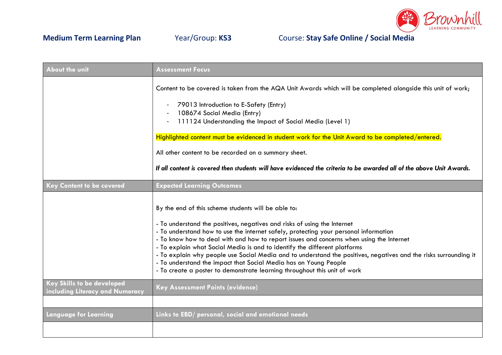

| <b>About the unit</b>                                         | <b>Assessment Focus</b>                                                                                                                                                                                                                                                                                                                                                                                                                                                                                                                                                                                                                                               |
|---------------------------------------------------------------|-----------------------------------------------------------------------------------------------------------------------------------------------------------------------------------------------------------------------------------------------------------------------------------------------------------------------------------------------------------------------------------------------------------------------------------------------------------------------------------------------------------------------------------------------------------------------------------------------------------------------------------------------------------------------|
|                                                               | Content to be covered is taken from the AQA Unit Awards which will be completed alongside this unit of work;<br>79013 Introduction to E-Safety (Entry)<br>108674 Social Media (Entry)<br>111124 Understanding the Impact of Social Media (Level 1)<br>Highlighted content must be evidenced in student work for the Unit Award to be completed/entered.<br>All other content to be recorded on a summary sheet.<br>If all content is covered then students will have evidenced the criteria to be awarded all of the above Unit Awards.                                                                                                                               |
| Key Content to be covered                                     | <b>Expected Learning Outcomes</b>                                                                                                                                                                                                                                                                                                                                                                                                                                                                                                                                                                                                                                     |
|                                                               | By the end of this scheme students will be able to:<br>- To understand the positives, negatives and risks of using the Internet<br>- To understand how to use the internet safely, protecting your personal information<br>- To know how to deal with and how to report issues and concerns when using the Internet<br>- To explain what Social Media is and to identify the different platforms<br>- To explain why people use Social Media and to understand the positives, negatives and the risks surrounding it<br>- To understand the impact that Social Media has on Young People<br>- To create a poster to demonstrate learning throughout this unit of work |
| Key Skills to be developed<br>including Literacy and Numeracy | Key Assessment Points (evidence)                                                                                                                                                                                                                                                                                                                                                                                                                                                                                                                                                                                                                                      |
|                                                               |                                                                                                                                                                                                                                                                                                                                                                                                                                                                                                                                                                                                                                                                       |
| Language for Learning                                         | Links to EBD/ personal, social and emotional needs                                                                                                                                                                                                                                                                                                                                                                                                                                                                                                                                                                                                                    |
|                                                               |                                                                                                                                                                                                                                                                                                                                                                                                                                                                                                                                                                                                                                                                       |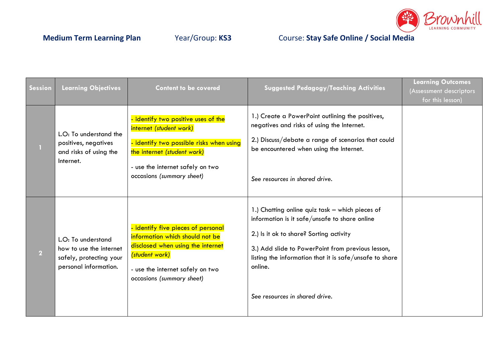

| <b>Session</b> | <b>Learning Objectives</b>                                                                        | <b>Content to be covered</b>                                                                                                                                                                               | <b>Suggested Pedagogy/Teaching Activities</b>                                                                                                                                                                                                                                                            | <b>Learning Outcomes</b><br>(Assessment descriptors<br>for this lesson) |
|----------------|---------------------------------------------------------------------------------------------------|------------------------------------------------------------------------------------------------------------------------------------------------------------------------------------------------------------|----------------------------------------------------------------------------------------------------------------------------------------------------------------------------------------------------------------------------------------------------------------------------------------------------------|-------------------------------------------------------------------------|
|                | L.O: To understand the<br>positives, negatives<br>and risks of using the<br>Internet.             | - identify two positive uses of the<br>internet (student work)<br>- identify two possible risks when using<br>the internet (student work)<br>- use the internet safely on two<br>occasions (summary sheet) | 1.) Create a PowerPoint outlining the positives,<br>negatives and risks of using the Internet.<br>2.) Discuss/debate a range of scenarios that could<br>be encountered when using the Internet.<br>See resources in shared drive.                                                                        |                                                                         |
| $\overline{2}$ | L.O: To understand<br>how to use the internet<br>safely, protecting your<br>personal information. | - identify five pieces of personal<br>information which should not be<br>disclosed when using the internet<br>(student work)<br>- use the internet safely on two<br>occasions (summary sheet)              | 1.) Chatting online quiz task - which pieces of<br>information is it safe/unsafe to share online<br>2.) Is it ok to share? Sorting activity<br>3.) Add slide to PowerPoint from previous lesson,<br>listing the information that it is safe/unsafe to share<br>online.<br>See resources in shared drive. |                                                                         |

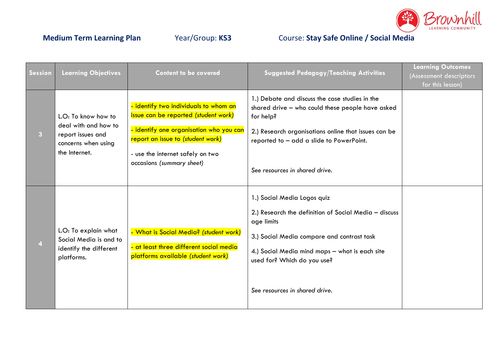

| Session      | <b>Learning Objectives</b>                                                                               | <b>Content to be covered</b>                                                                                                                                                                                                   | <b>Suggested Pedagogy/Teaching Activities</b>                                                                                                                                                                                                                       | <b>Learning Outcomes</b><br><b>Assessment descriptors</b><br>for this lesson) |
|--------------|----------------------------------------------------------------------------------------------------------|--------------------------------------------------------------------------------------------------------------------------------------------------------------------------------------------------------------------------------|---------------------------------------------------------------------------------------------------------------------------------------------------------------------------------------------------------------------------------------------------------------------|-------------------------------------------------------------------------------|
| $\mathbf{3}$ | L.O: To know how to<br>deal with and how to<br>report issues and<br>concerns when using<br>the Internet. | - identify two individuals to whom an<br>issue can be reported (student work)<br>- identify one organisation who you can<br>report an issue to (student work)<br>- use the internet safely on two<br>occasions (summary sheet) | 1.) Debate and discuss the case studies in the<br>shared drive - who could these people have asked<br>for help?<br>2.) Research organisations online that issues can be<br>reported to - add a slide to PowerPoint.<br>See resources in shared drive.               |                                                                               |
| 4            | L.O: To explain what<br>Social Media is and to<br>identify the different<br>platforms.                   | - What is Social Media? (student work)<br>- at least three different social media<br>platforms available (student work)                                                                                                        | 1.) Social Media Logos quiz<br>2.) Research the definition of Social Media - discuss<br>age limits<br>3.) Social Media compare and contrast task<br>4.) Social Media mind maps - what is each site<br>used for? Which do you use?<br>See resources in shared drive. |                                                                               |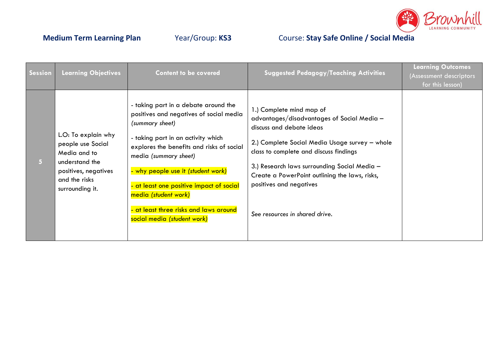

| Session        | <b>Learning Objectives</b>                                                                                                             | <b>Content to be covered</b>                                                                                                                                                                                                                                                                                                                                                                      | <b>Suggested Pedagogy/Teaching Activities</b>                                                                                                                                                                                                                                                                                                                 | <b>Learning Outcomes</b><br>(Assessment descriptors<br>for this lesson) |
|----------------|----------------------------------------------------------------------------------------------------------------------------------------|---------------------------------------------------------------------------------------------------------------------------------------------------------------------------------------------------------------------------------------------------------------------------------------------------------------------------------------------------------------------------------------------------|---------------------------------------------------------------------------------------------------------------------------------------------------------------------------------------------------------------------------------------------------------------------------------------------------------------------------------------------------------------|-------------------------------------------------------------------------|
| 5 <sup>5</sup> | L.O: To explain why<br>people use Social<br>Media and to<br>understand the<br>positives, negatives<br>and the risks<br>surrounding it. | - taking part in a debate around the<br>positives and negatives of social media<br>(summary sheet)<br>- taking part in an activity which<br>explores the benefits and risks of social<br>media (summary sheet)<br>- why people use it (student work)<br>- at least one positive impact of social<br>media (student work)<br>- at least three risks and laws around<br>social media (student work) | 1.) Complete mind map of<br>advantages/disadvantages of Social Media -<br>discuss and debate ideas<br>2.) Complete Social Media Usage survey - whole<br>class to complete and discuss findings<br>3.) Research laws surrounding Social Media -<br>Create a PowerPoint outlining the laws, risks,<br>positives and negatives<br>See resources in shared drive. |                                                                         |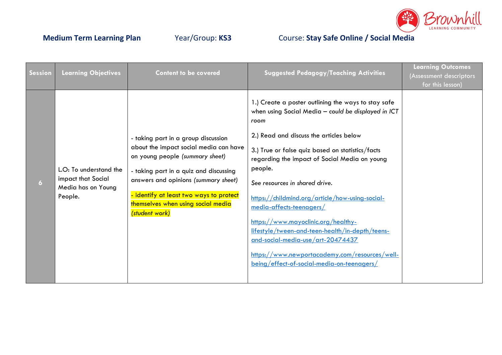

| <b>Session</b> | <b>Learning Objectives</b>                                                    | <b>Content to be covered</b>                                                                                                                                                                                                                                                                          | <b>Suggested Pedagogy/Teaching Activities</b>                                                                                                                                                                                                                                                                                                                                                                                                                                                                                                                                                                                        | <b>Learning Outcomes</b><br>Assessment descriptors<br>for this lesson) |
|----------------|-------------------------------------------------------------------------------|-------------------------------------------------------------------------------------------------------------------------------------------------------------------------------------------------------------------------------------------------------------------------------------------------------|--------------------------------------------------------------------------------------------------------------------------------------------------------------------------------------------------------------------------------------------------------------------------------------------------------------------------------------------------------------------------------------------------------------------------------------------------------------------------------------------------------------------------------------------------------------------------------------------------------------------------------------|------------------------------------------------------------------------|
| 6 <sup>1</sup> | L.O: To understand the<br>impact that Social<br>Media has on Young<br>People. | - taking part in a group discussion<br>about the impact social media can have<br>on young people (summary sheet)<br>- taking part in a quiz and discussing<br>answers and opinions (summary sheet)<br>- identify at least two ways to protect<br>themselves when using social media<br>(student work) | 1.) Create a poster outlining the ways to stay safe<br>when using Social Media - could be displayed in ICT<br>room<br>2.) Read and discuss the articles below<br>3.) True or false quiz based on statistics/facts<br>regarding the impact of Social Media on young<br>people.<br>See resources in shared drive.<br>https://childmind.org/article/how-using-social-<br>media-affects-teenagers/<br>https://www.mayoclinic.org/healthy-<br>lifestyle/tween-and-teen-health/in-depth/teens-<br>and-social-media-use/art-20474437<br>https://www.newportacademy.com/resources/well-<br><u>being/effect-of-social-media-on-teenagers/</u> |                                                                        |